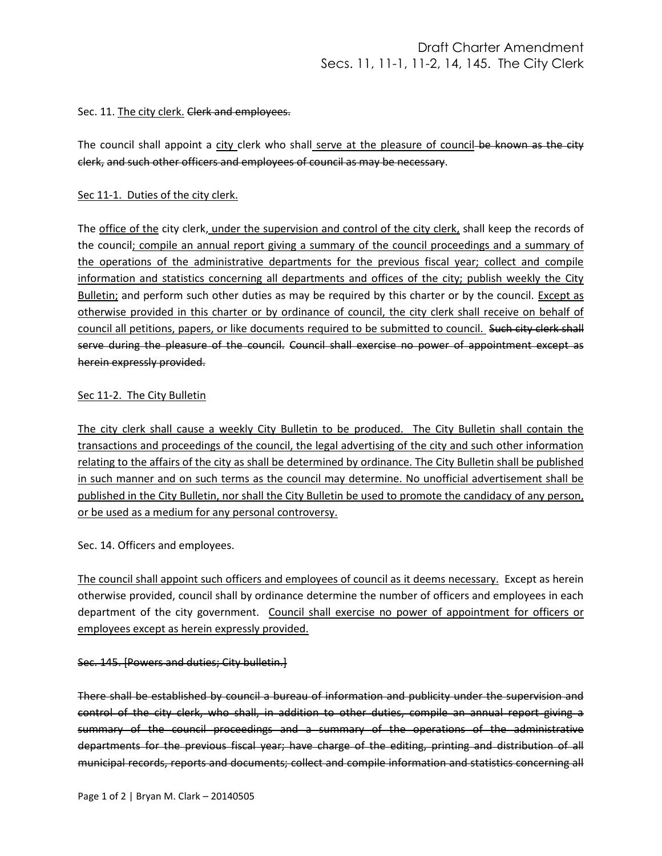### Sec. 11. The city clerk. Clerk and employees.

The council shall appoint a city clerk who shall serve at the pleasure of council-be known as the city clerk, and such other officers and employees of council as may be necessary.

## Sec 11-1. Duties of the city clerk.

The office of the city clerk, under the supervision and control of the city clerk, shall keep the records of the council; compile an annual report giving a summary of the council proceedings and a summary of the operations of the administrative departments for the previous fiscal year; collect and compile information and statistics concerning all departments and offices of the city; publish weekly the City Bulletin; and perform such other duties as may be required by this charter or by the council. Except as otherwise provided in this charter or by ordinance of council, the city clerk shall receive on behalf of council all petitions, papers, or like documents required to be submitted to council. Such city clerk shall serve during the pleasure of the council. Council shall exercise no power of appointment except as herein expressly provided.

## Sec 11-2. The City Bulletin

The city clerk shall cause a weekly City Bulletin to be produced. The City Bulletin shall contain the transactions and proceedings of the council, the legal advertising of the city and such other information relating to the affairs of the city as shall be determined by ordinance. The City Bulletin shall be published in such manner and on such terms as the council may determine. No unofficial advertisement shall be published in the City Bulletin, nor shall the City Bulletin be used to promote the candidacy of any person, or be used as a medium for any personal controversy.

Sec. 14. Officers and employees.

The council shall appoint such officers and employees of council as it deems necessary. Except as herein otherwise provided, council shall by ordinance determine the number of officers and employees in each department of the city government. Council shall exercise no power of appointment for officers or employees except as herein expressly provided.

## Sec. 145. [Powers and duties; City bulletin.]

There shall be established by council a bureau of information and publicity under the supervision and control of the city clerk, who shall, in addition to other duties, compile an annual report giving a summary of the council proceedings and a summary of the operations of the administrative departments for the previous fiscal year; have charge of the editing, printing and distribution of all municipal records, reports and documents; collect and compile information and statistics concerning all